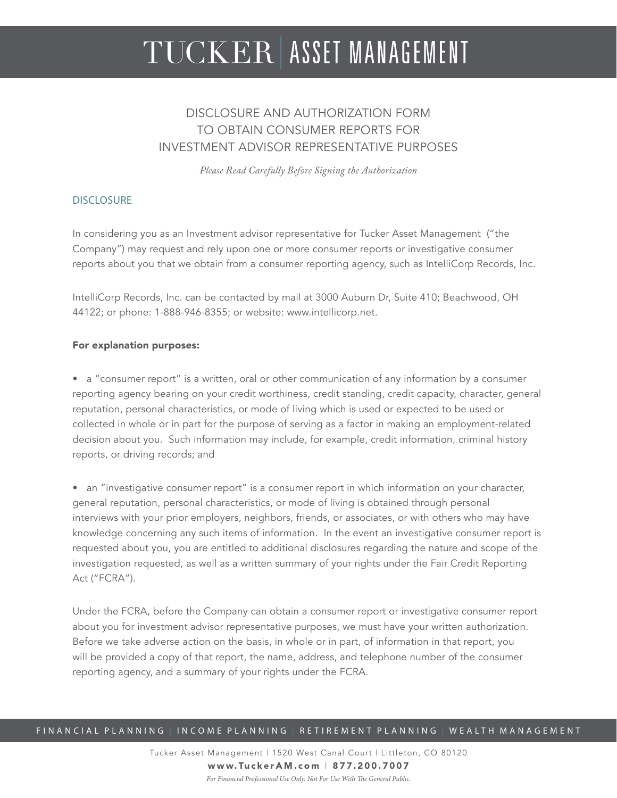# TUCKER ASSET MANAGEMENT

## DISCI OSURE AND AUTHORIZATION FORM TO OBTAIN CONSUMER REPORTS FOR INVESTMENT ADVISOR REPRESENTATIVE PURPOSES

*Please Read Carefully Before Signing the Authorization*

#### **DISCLOSURE**

In considering you as an Investment advisor representative for Tucker Asset Management ("the Company") may request and rely upon one or more consumer reports or investigative consumer reports about you that we obtain from a consumer reporting agency, such as IntelliCorp Records, Inc.

IntelliCorp Records, Inc. can be contacted by mail at 3000 Auburn Dr, Suite 410; Beachwood, OH 44122; or phone: 1-888-946-8355; or website: www.intellicorp.net.

#### For explanation purposes:

• a "consumer report" is a written, oral or other communication of any information by a consumer reporting agency bearing on your credit worthiness, credit standing, credit capacity, character, general reputation, personal characteristics, or mode of living which is used or expected to be used or collected in whole or in part for the purpose of serving as a factor in making an employment-related decision about you. Such information may include, for example, credit information, criminal history reports, or driving records; and

• an "investigative consumer report" is a consumer report in which information on your character, general reputation, personal characteristics, or mode of living is obtained through personal interviews with your prior employers, neighbors, friends, or associates, or with others who may have knowledge concerning any such items of information. In the event an investigative consumer report is requested about you, you are entitled to additional disclosures regarding the nature and scope of the investigation requested, as well as a written summary of your rights under the Fair Credit Reporting Act ("FCRA").

Under the FCRA, before the Company can obtain a consumer report or investigative consumer report about you for investment advisor representative purposes, we must have your written authorization. Before we take adverse action on the basis, in whole or in part, of information in that report, you will be provided a copy of that report, the name, address, and telephone number of the consumer reporting agency, and a summary of your rights under the FCRA.

#### FINANCIAL PLANNING | INCOME PLANNING | RETIREMENT PLANNING | WEALTH MANAGEMENT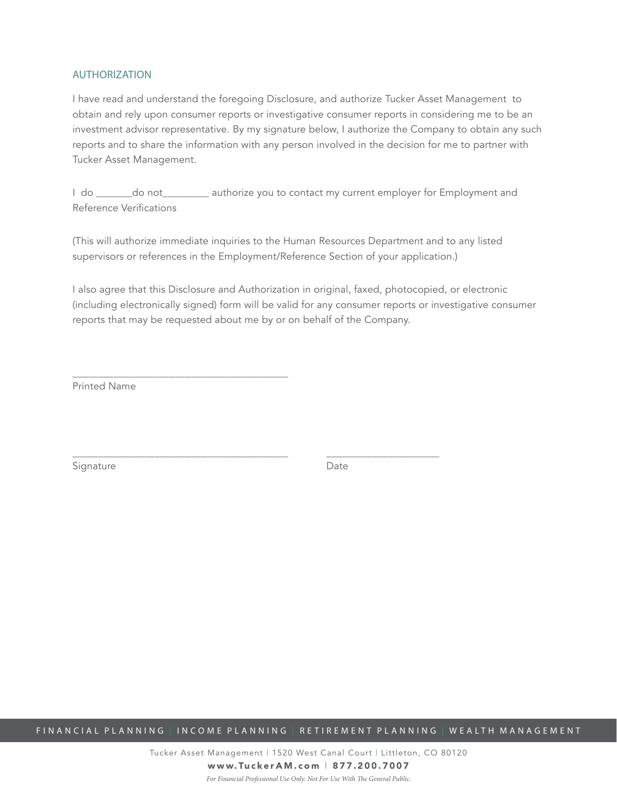#### AUTHORIZATION

I have read and understand the foregoing Disclosure, and authorize Tucker Asset Management to obtain and rely upon consumer reports or investigative consumer reports in considering me to be an investment advisor representative. By my signature below, I authorize the Company to obtain any such reports and to share the information with any person involved in the decision for me to partner with Tucker Asset Management.

I do \_\_\_\_\_\_\_do not\_\_\_\_\_\_\_\_\_ authorize you to contact my current employer for Employment and Reference Verifications

(This will authorize immediate inquiries to the Human Resources Department and to any listed supervisors or references in the Employment/Reference Section of your application.)

\_\_\_\_\_\_\_\_\_\_\_\_\_\_\_\_\_\_\_\_\_\_\_\_\_\_\_\_\_\_\_\_\_\_\_\_\_\_\_\_\_\_ \_\_\_\_\_\_\_\_\_\_\_\_\_\_\_\_\_\_\_\_\_\_

I also agree that this Disclosure and Authorization in original, faxed, photocopied, or electronic (including electronically signed) form will be valid for any consumer reports or investigative consumer reports that may be requested about me by or on behalf of the Company.

Printed Name

\_\_\_\_\_\_\_\_\_\_\_\_\_\_\_\_\_\_\_\_\_\_\_\_\_\_\_\_\_\_\_\_\_\_\_\_\_\_\_\_\_\_

Signature Date

FINANCIAL PLANNING | INCOME PLANNING | RETIREMENT PLANNING | WEALTH MANAGEMENT

Tucker Asset Management | 1520 West Canal Court | Littleton, CO 80120 www.TuckerAM.com | 877.200.7007 *For Financial Professional Use Only. Not For Use With The General Public.*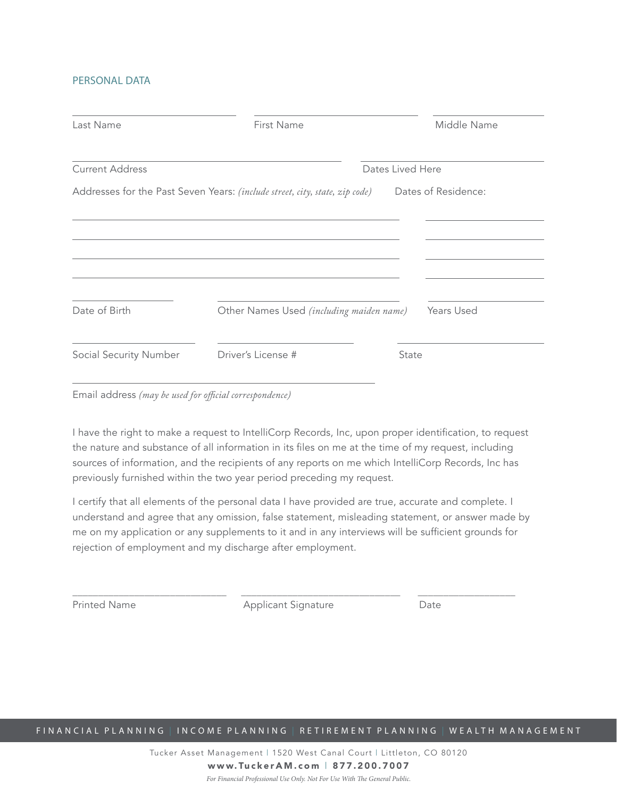#### PERSONAL DATA

| Last Name              | First Name                                                                  |  | Middle Name         |
|------------------------|-----------------------------------------------------------------------------|--|---------------------|
| <b>Current Address</b> | Dates Lived Here                                                            |  |                     |
|                        | Addresses for the Past Seven Years: (include street, city, state, zip code) |  | Dates of Residence: |
|                        |                                                                             |  |                     |
|                        |                                                                             |  |                     |
|                        |                                                                             |  |                     |
|                        |                                                                             |  |                     |
| Date of Birth          | Other Names Used (including maiden name)                                    |  | Years Used          |
|                        |                                                                             |  |                     |
|                        |                                                                             |  |                     |

Email address *(may be used for official correspondence)*

I have the right to make a request to IntelliCorp Records, Inc, upon proper identification, to request the nature and substance of all information in its files on me at the time of my request, including sources of information, and the recipients of any reports on me which IntelliCorp Records, Inc has previously furnished within the two year period preceding my request.

I certify that all elements of the personal data I have provided are true, accurate and complete. I understand and agree that any omission, false statement, misleading statement, or answer made by me on my application or any supplements to it and in any interviews will be sufficient grounds for rejection of employment and my discharge after employment.

\_\_\_\_\_\_\_\_\_\_\_\_\_\_\_\_\_\_\_\_\_\_\_\_\_\_\_\_\_\_ \_\_\_\_\_\_\_\_\_\_\_\_\_\_\_\_\_\_\_\_\_\_\_\_\_\_\_\_\_\_\_ \_\_\_\_\_\_\_\_\_\_\_\_\_\_\_\_\_\_\_ Printed Name **Applicant Signature** Date

FINANCIAL PLANNING | INCOME PLANNING | RETIREMENT PLANNING | WEALTH MANAGEMENT

Tucker Asset Management | 1520 West Canal Court | Littleton, CO 80120 www.TuckerAM.com | 877.200.7007 *For Financial Professional Use Only. Not For Use With The General Public.*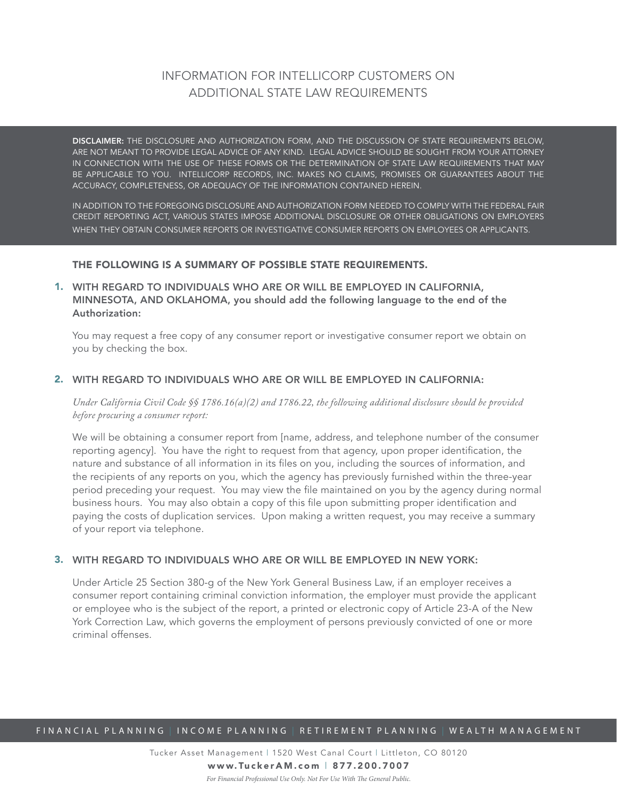## INFORMATION FOR INTELLICORP CUSTOMERS ON ADDITIONAL STATE LAW REQUIREMENTS

DISCLAIMER: THE DISCLOSURE AND AUTHORIZATION FORM, AND THE DISCUSSION OF STATE REQUIREMENTS BELOW, ARE NOT MEANT TO PROVIDE LEGAL ADVICE OF ANY KIND. LEGAL ADVICE SHOULD BE SOUGHT FROM YOUR ATTORNEY IN CONNECTION WITH THE USE OF THESE FORMS OR THE DETERMINATION OF STATE LAW REQUIREMENTS THAT MAY BE APPLICABLE TO YOU. INTELLICORP RECORDS, INC. MAKES NO CLAIMS, PROMISES OR GUARANTEES ABOUT THE ACCURACY, COMPLETENESS, OR ADEQUACY OF THE INFORMATION CONTAINED HEREIN.

IN ADDITION TO THE FOREGOING DISCLOSURE AND AUTHORIZATION FORM NEEDED TO COMPLY WITH THE FEDERAL FAIR CREDIT REPORTING ACT, VARIOUS STATES IMPOSE ADDITIONAL DISCLOSURE OR OTHER OBLIGATIONS ON EMPLOYERS WHEN THEY OBTAIN CONSUMER REPORTS OR INVESTIGATIVE CONSUMER REPORTS ON EMPLOYEES OR APPLICANTS.

#### THE FOLLOWING IS A SUMMARY OF POSSIBLE STATE REQUIREMENTS.

WITH REGARD TO INDIVIDUALS WHO ARE OR WILL BE EMPLOYED IN CALIFORNIA, 1. MINNESOTA, AND OKLAHOMA, you should add the following language to the end of the Authorization:

You may request a free copy of any consumer report or investigative consumer report we obtain on you by checking the box.

#### WITH REGARD TO INDIVIDUALS WHO ARE OR WILL BE EMPLOYED IN CALIFORNIA: 2.

*Under California Civil Code §§ 1786.16(a)(2) and 1786.22, the following additional disclosure should be provided before procuring a consumer report:*

We will be obtaining a consumer report from [name, address, and telephone number of the consumer reporting agency]. You have the right to request from that agency, upon proper identification, the nature and substance of all information in its files on you, including the sources of information, and the recipients of any reports on you, which the agency has previously furnished within the three-year period preceding your request. You may view the file maintained on you by the agency during normal business hours. You may also obtain a copy of this file upon submitting proper identification and paying the costs of duplication services. Upon making a written request, you may receive a summary of your report via telephone.

#### WITH REGARD TO INDIVIDUALS WHO ARE OR WILL BE EMPLOYED IN NEW YORK: 3.

Under Article 25 Section 380-g of the New York General Business Law, if an employer receives a consumer report containing criminal conviction information, the employer must provide the applicant or employee who is the subject of the report, a printed or electronic copy of Article 23-A of the New York Correction Law, which governs the employment of persons previously convicted of one or more criminal offenses.

#### FINANCIAL PLANNING | INCOME PLANNING | RETIREMENT PLANNING | WEALTH MANAGEMENT

Tucker Asset Management | 1520 West Canal Court | Littleton, CO 80120 www.TuckerAM.com | 877.200.7007 *For Financial Professional Use Only. Not For Use With The General Public.*